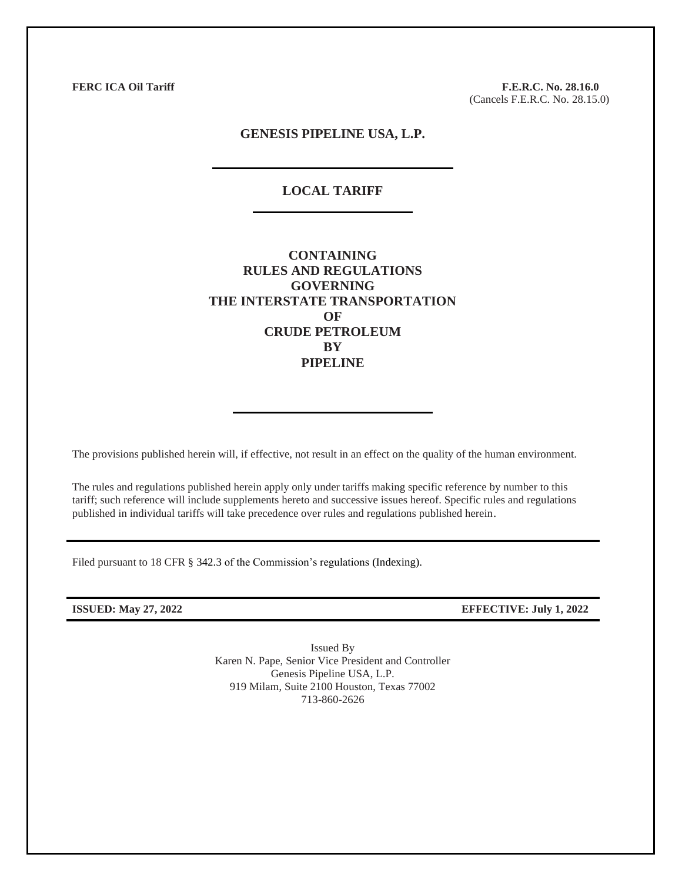**FERC ICA Oil Tariff F.E.R.C. No. 28.16.0** (Cancels F.E.R.C. No. 28.15.0)

## **GENESIS PIPELINE USA, L.P.**

# **LOCAL TARIFF**

**CONTAINING RULES AND REGULATIONS GOVERNING THE INTERSTATE TRANSPORTATION OF CRUDE PETROLEUM BY PIPELINE**

The provisions published herein will, if effective, not result in an effect on the quality of the human environment.

The rules and regulations published herein apply only under tariffs making specific reference by number to this tariff; such reference will include supplements hereto and successive issues hereof. Specific rules and regulations published in individual tariffs will take precedence over rules and regulations published herein.

Filed pursuant to 18 CFR § 342.3 of the Commission's regulations (Indexing).

**ISSUED: May 27, 2022 EFFECTIVE: July 1, 2022**

Issued By Karen N. Pape, Senior Vice President and Controller Genesis Pipeline USA, L.P. 919 Milam, Suite 2100 Houston, Texas 77002 713-860-2626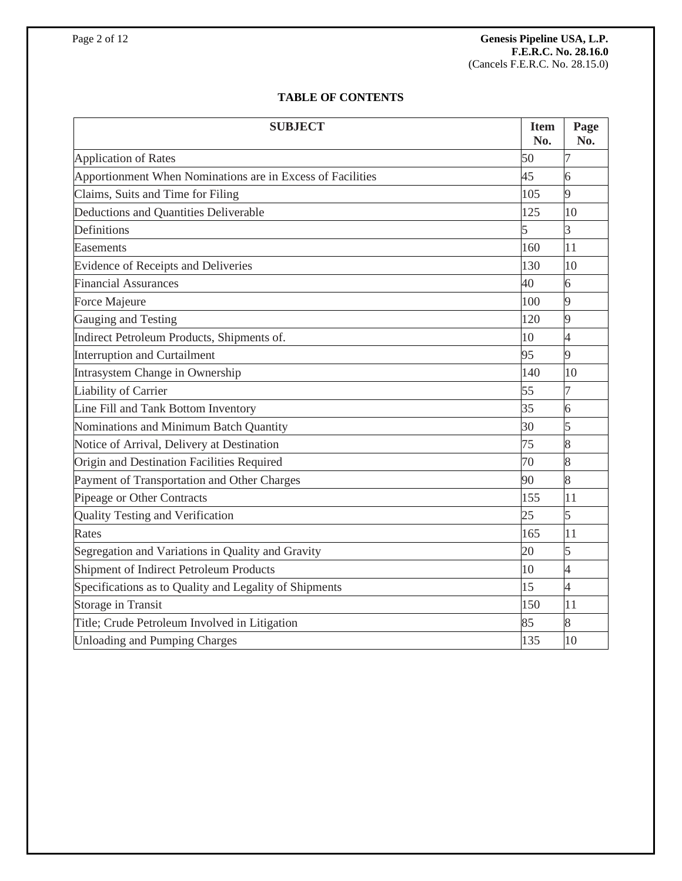# **TABLE OF CONTENTS**

| <b>SUBJECT</b>                                             | <b>Item</b><br>No. | Page<br>No.    |
|------------------------------------------------------------|--------------------|----------------|
| <b>Application of Rates</b>                                | 50                 | 7              |
| Apportionment When Nominations are in Excess of Facilities | 45                 | 6              |
| Claims, Suits and Time for Filing                          | 105                | 9              |
| Deductions and Quantities Deliverable                      | 125                | 10             |
| Definitions                                                | 5                  | $\overline{3}$ |
| Easements                                                  | 160                | 11             |
| Evidence of Receipts and Deliveries                        | 130                | 10             |
| <b>Financial Assurances</b>                                | 40                 | 6              |
| Force Majeure                                              | 100                | 9              |
| Gauging and Testing                                        | 120                | 9              |
| Indirect Petroleum Products, Shipments of.                 | 10                 | 4              |
| <b>Interruption and Curtailment</b>                        | 95                 | 9              |
| Intrasystem Change in Ownership                            | 140                | 10             |
| Liability of Carrier                                       | 55                 | 7              |
| Line Fill and Tank Bottom Inventory                        | 35                 | 6              |
| Nominations and Minimum Batch Quantity                     | 30                 | 5              |
| Notice of Arrival, Delivery at Destination                 | 75                 | 8              |
| Origin and Destination Facilities Required                 | 70                 | 8              |
| Payment of Transportation and Other Charges                | 90                 | 8              |
| Pipeage or Other Contracts                                 |                    | 11             |
| <b>Quality Testing and Verification</b>                    | 25                 | 5              |
| Rates                                                      | 165                | 11             |
| Segregation and Variations in Quality and Gravity          | 20                 | 5              |
| Shipment of Indirect Petroleum Products                    | 10                 | 4              |
| Specifications as to Quality and Legality of Shipments     | 15                 | $\overline{4}$ |
| <b>Storage in Transit</b>                                  | 150                | 11             |
| Title; Crude Petroleum Involved in Litigation              | 85                 | 8              |
| <b>Unloading and Pumping Charges</b>                       | 135                | 10             |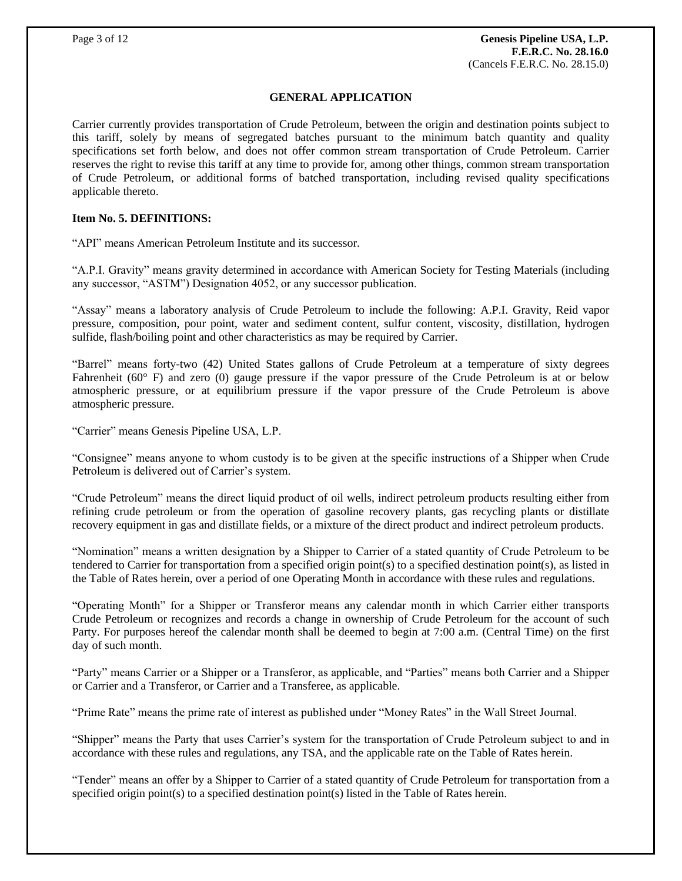## **GENERAL APPLICATION**

Carrier currently provides transportation of Crude Petroleum, between the origin and destination points subject to this tariff, solely by means of segregated batches pursuant to the minimum batch quantity and quality specifications set forth below, and does not offer common stream transportation of Crude Petroleum. Carrier reserves the right to revise this tariff at any time to provide for, among other things, common stream transportation of Crude Petroleum, or additional forms of batched transportation, including revised quality specifications applicable thereto.

## **Item No. 5. DEFINITIONS:**

"API" means American Petroleum Institute and its successor.

"A.P.I. Gravity" means gravity determined in accordance with American Society for Testing Materials (including any successor, "ASTM") Designation 4052, or any successor publication.

"Assay" means a laboratory analysis of Crude Petroleum to include the following: A.P.I. Gravity, Reid vapor pressure, composition, pour point, water and sediment content, sulfur content, viscosity, distillation, hydrogen sulfide, flash/boiling point and other characteristics as may be required by Carrier.

"Barrel" means forty-two (42) United States gallons of Crude Petroleum at a temperature of sixty degrees Fahrenheit (60° F) and zero (0) gauge pressure if the vapor pressure of the Crude Petroleum is at or below atmospheric pressure, or at equilibrium pressure if the vapor pressure of the Crude Petroleum is above atmospheric pressure.

"Carrier" means Genesis Pipeline USA, L.P.

"Consignee" means anyone to whom custody is to be given at the specific instructions of a Shipper when Crude Petroleum is delivered out of Carrier's system.

"Crude Petroleum" means the direct liquid product of oil wells, indirect petroleum products resulting either from refining crude petroleum or from the operation of gasoline recovery plants, gas recycling plants or distillate recovery equipment in gas and distillate fields, or a mixture of the direct product and indirect petroleum products.

"Nomination" means a written designation by a Shipper to Carrier of a stated quantity of Crude Petroleum to be tendered to Carrier for transportation from a specified origin point(s) to a specified destination point(s), as listed in the Table of Rates herein, over a period of one Operating Month in accordance with these rules and regulations.

"Operating Month" for a Shipper or Transferor means any calendar month in which Carrier either transports Crude Petroleum or recognizes and records a change in ownership of Crude Petroleum for the account of such Party. For purposes hereof the calendar month shall be deemed to begin at 7:00 a.m. (Central Time) on the first day of such month.

"Party" means Carrier or a Shipper or a Transferor, as applicable, and "Parties" means both Carrier and a Shipper or Carrier and a Transferor, or Carrier and a Transferee, as applicable.

"Prime Rate" means the prime rate of interest as published under "Money Rates" in the Wall Street Journal.

"Shipper" means the Party that uses Carrier's system for the transportation of Crude Petroleum subject to and in accordance with these rules and regulations, any TSA, and the applicable rate on the Table of Rates herein.

"Tender" means an offer by a Shipper to Carrier of a stated quantity of Crude Petroleum for transportation from a specified origin point(s) to a specified destination point(s) listed in the Table of Rates herein.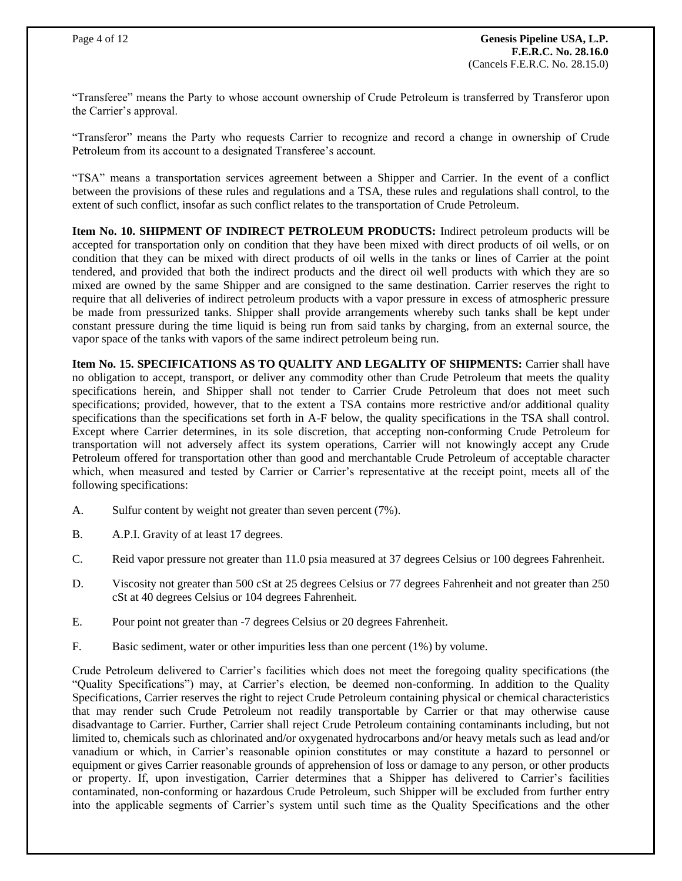"Transferee" means the Party to whose account ownership of Crude Petroleum is transferred by Transferor upon the Carrier's approval.

"Transferor" means the Party who requests Carrier to recognize and record a change in ownership of Crude Petroleum from its account to a designated Transferee's account.

"TSA" means a transportation services agreement between a Shipper and Carrier. In the event of a conflict between the provisions of these rules and regulations and a TSA, these rules and regulations shall control, to the extent of such conflict, insofar as such conflict relates to the transportation of Crude Petroleum.

**Item No. 10. SHIPMENT OF INDIRECT PETROLEUM PRODUCTS:** Indirect petroleum products will be accepted for transportation only on condition that they have been mixed with direct products of oil wells, or on condition that they can be mixed with direct products of oil wells in the tanks or lines of Carrier at the point tendered, and provided that both the indirect products and the direct oil well products with which they are so mixed are owned by the same Shipper and are consigned to the same destination. Carrier reserves the right to require that all deliveries of indirect petroleum products with a vapor pressure in excess of atmospheric pressure be made from pressurized tanks. Shipper shall provide arrangements whereby such tanks shall be kept under constant pressure during the time liquid is being run from said tanks by charging, from an external source, the vapor space of the tanks with vapors of the same indirect petroleum being run.

**Item No. 15. SPECIFICATIONS AS TO QUALITY AND LEGALITY OF SHIPMENTS:** Carrier shall have no obligation to accept, transport, or deliver any commodity other than Crude Petroleum that meets the quality specifications herein, and Shipper shall not tender to Carrier Crude Petroleum that does not meet such specifications; provided, however, that to the extent a TSA contains more restrictive and/or additional quality specifications than the specifications set forth in A-F below, the quality specifications in the TSA shall control. Except where Carrier determines, in its sole discretion, that accepting non-conforming Crude Petroleum for transportation will not adversely affect its system operations, Carrier will not knowingly accept any Crude Petroleum offered for transportation other than good and merchantable Crude Petroleum of acceptable character which, when measured and tested by Carrier or Carrier's representative at the receipt point, meets all of the following specifications:

- A. Sulfur content by weight not greater than seven percent (7%).
- B. A.P.I. Gravity of at least 17 degrees.
- C. Reid vapor pressure not greater than 11.0 psia measured at 37 degrees Celsius or 100 degrees Fahrenheit.
- D. Viscosity not greater than 500 cSt at 25 degrees Celsius or 77 degrees Fahrenheit and not greater than 250 cSt at 40 degrees Celsius or 104 degrees Fahrenheit.
- E. Pour point not greater than -7 degrees Celsius or 20 degrees Fahrenheit.
- F. Basic sediment, water or other impurities less than one percent (1%) by volume.

Crude Petroleum delivered to Carrier's facilities which does not meet the foregoing quality specifications (the "Quality Specifications") may, at Carrier's election, be deemed non-conforming. In addition to the Quality Specifications, Carrier reserves the right to reject Crude Petroleum containing physical or chemical characteristics that may render such Crude Petroleum not readily transportable by Carrier or that may otherwise cause disadvantage to Carrier. Further, Carrier shall reject Crude Petroleum containing contaminants including, but not limited to, chemicals such as chlorinated and/or oxygenated hydrocarbons and/or heavy metals such as lead and/or vanadium or which, in Carrier's reasonable opinion constitutes or may constitute a hazard to personnel or equipment or gives Carrier reasonable grounds of apprehension of loss or damage to any person, or other products or property. If, upon investigation, Carrier determines that a Shipper has delivered to Carrier's facilities contaminated, non-conforming or hazardous Crude Petroleum, such Shipper will be excluded from further entry into the applicable segments of Carrier's system until such time as the Quality Specifications and the other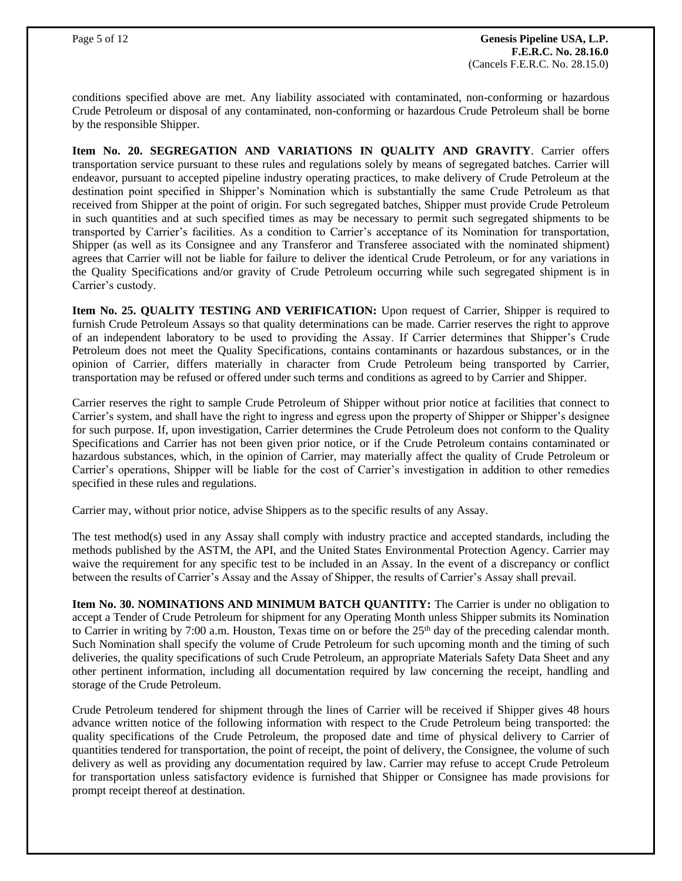conditions specified above are met. Any liability associated with contaminated, non-conforming or hazardous Crude Petroleum or disposal of any contaminated, non-conforming or hazardous Crude Petroleum shall be borne by the responsible Shipper.

**Item No. 20. SEGREGATION AND VARIATIONS IN QUALITY AND GRAVITY**. Carrier offers transportation service pursuant to these rules and regulations solely by means of segregated batches. Carrier will endeavor, pursuant to accepted pipeline industry operating practices, to make delivery of Crude Petroleum at the destination point specified in Shipper's Nomination which is substantially the same Crude Petroleum as that received from Shipper at the point of origin. For such segregated batches, Shipper must provide Crude Petroleum in such quantities and at such specified times as may be necessary to permit such segregated shipments to be transported by Carrier's facilities. As a condition to Carrier's acceptance of its Nomination for transportation, Shipper (as well as its Consignee and any Transferor and Transferee associated with the nominated shipment) agrees that Carrier will not be liable for failure to deliver the identical Crude Petroleum, or for any variations in the Quality Specifications and/or gravity of Crude Petroleum occurring while such segregated shipment is in Carrier's custody.

**Item No. 25. QUALITY TESTING AND VERIFICATION:** Upon request of Carrier, Shipper is required to furnish Crude Petroleum Assays so that quality determinations can be made. Carrier reserves the right to approve of an independent laboratory to be used to providing the Assay. If Carrier determines that Shipper's Crude Petroleum does not meet the Quality Specifications, contains contaminants or hazardous substances, or in the opinion of Carrier, differs materially in character from Crude Petroleum being transported by Carrier, transportation may be refused or offered under such terms and conditions as agreed to by Carrier and Shipper.

Carrier reserves the right to sample Crude Petroleum of Shipper without prior notice at facilities that connect to Carrier's system, and shall have the right to ingress and egress upon the property of Shipper or Shipper's designee for such purpose. If, upon investigation, Carrier determines the Crude Petroleum does not conform to the Quality Specifications and Carrier has not been given prior notice, or if the Crude Petroleum contains contaminated or hazardous substances, which, in the opinion of Carrier, may materially affect the quality of Crude Petroleum or Carrier's operations, Shipper will be liable for the cost of Carrier's investigation in addition to other remedies specified in these rules and regulations.

Carrier may, without prior notice, advise Shippers as to the specific results of any Assay.

The test method(s) used in any Assay shall comply with industry practice and accepted standards, including the methods published by the ASTM, the API, and the United States Environmental Protection Agency. Carrier may waive the requirement for any specific test to be included in an Assay. In the event of a discrepancy or conflict between the results of Carrier's Assay and the Assay of Shipper, the results of Carrier's Assay shall prevail.

**Item No. 30. NOMINATIONS AND MINIMUM BATCH QUANTITY:** The Carrier is under no obligation to accept a Tender of Crude Petroleum for shipment for any Operating Month unless Shipper submits its Nomination to Carrier in writing by 7:00 a.m. Houston, Texas time on or before the  $25<sup>th</sup>$  day of the preceding calendar month. Such Nomination shall specify the volume of Crude Petroleum for such upcoming month and the timing of such deliveries, the quality specifications of such Crude Petroleum, an appropriate Materials Safety Data Sheet and any other pertinent information, including all documentation required by law concerning the receipt, handling and storage of the Crude Petroleum.

Crude Petroleum tendered for shipment through the lines of Carrier will be received if Shipper gives 48 hours advance written notice of the following information with respect to the Crude Petroleum being transported: the quality specifications of the Crude Petroleum, the proposed date and time of physical delivery to Carrier of quantities tendered for transportation, the point of receipt, the point of delivery, the Consignee, the volume of such delivery as well as providing any documentation required by law. Carrier may refuse to accept Crude Petroleum for transportation unless satisfactory evidence is furnished that Shipper or Consignee has made provisions for prompt receipt thereof at destination.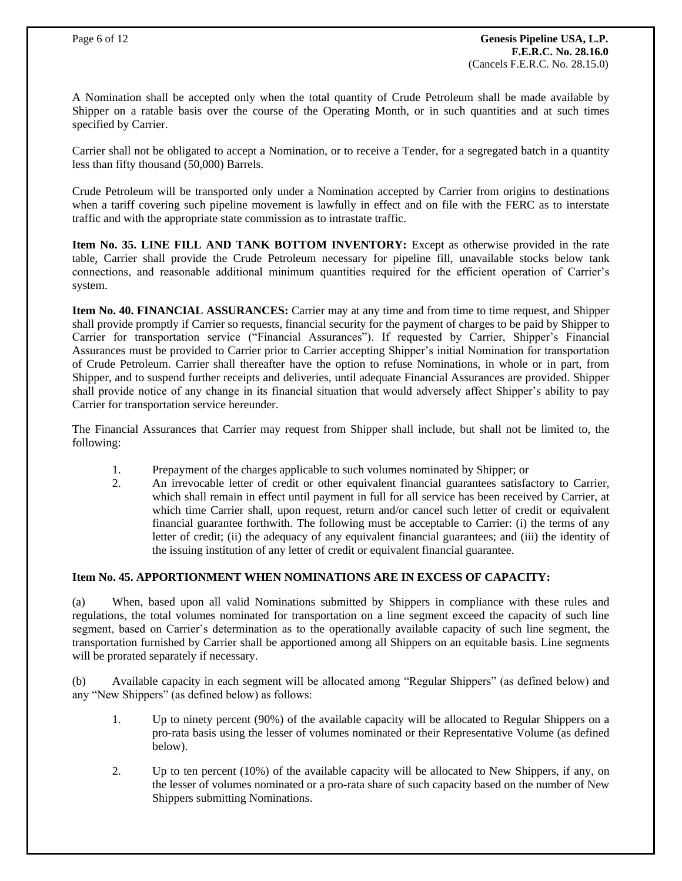A Nomination shall be accepted only when the total quantity of Crude Petroleum shall be made available by Shipper on a ratable basis over the course of the Operating Month, or in such quantities and at such times specified by Carrier.

Carrier shall not be obligated to accept a Nomination, or to receive a Tender, for a segregated batch in a quantity less than fifty thousand (50,000) Barrels.

Crude Petroleum will be transported only under a Nomination accepted by Carrier from origins to destinations when a tariff covering such pipeline movement is lawfully in effect and on file with the FERC as to interstate traffic and with the appropriate state commission as to intrastate traffic.

**Item No. 35. LINE FILL AND TANK BOTTOM INVENTORY:** Except as otherwise provided in the rate table, Carrier shall provide the Crude Petroleum necessary for pipeline fill, unavailable stocks below tank connections, and reasonable additional minimum quantities required for the efficient operation of Carrier's system.

**Item No. 40. FINANCIAL ASSURANCES:** Carrier may at any time and from time to time request, and Shipper shall provide promptly if Carrier so requests, financial security for the payment of charges to be paid by Shipper to Carrier for transportation service ("Financial Assurances"). If requested by Carrier, Shipper's Financial Assurances must be provided to Carrier prior to Carrier accepting Shipper's initial Nomination for transportation of Crude Petroleum. Carrier shall thereafter have the option to refuse Nominations, in whole or in part, from Shipper, and to suspend further receipts and deliveries, until adequate Financial Assurances are provided. Shipper shall provide notice of any change in its financial situation that would adversely affect Shipper's ability to pay Carrier for transportation service hereunder.

The Financial Assurances that Carrier may request from Shipper shall include, but shall not be limited to, the following:

- 1. Prepayment of the charges applicable to such volumes nominated by Shipper; or
- 2. An irrevocable letter of credit or other equivalent financial guarantees satisfactory to Carrier, which shall remain in effect until payment in full for all service has been received by Carrier, at which time Carrier shall, upon request, return and/or cancel such letter of credit or equivalent financial guarantee forthwith. The following must be acceptable to Carrier: (i) the terms of any letter of credit; (ii) the adequacy of any equivalent financial guarantees; and (iii) the identity of the issuing institution of any letter of credit or equivalent financial guarantee.

## **Item No. 45. APPORTIONMENT WHEN NOMINATIONS ARE IN EXCESS OF CAPACITY:**

(a) When, based upon all valid Nominations submitted by Shippers in compliance with these rules and regulations, the total volumes nominated for transportation on a line segment exceed the capacity of such line segment, based on Carrier's determination as to the operationally available capacity of such line segment, the transportation furnished by Carrier shall be apportioned among all Shippers on an equitable basis. Line segments will be prorated separately if necessary.

(b) Available capacity in each segment will be allocated among "Regular Shippers" (as defined below) and any "New Shippers" (as defined below) as follows:

- 1. Up to ninety percent (90%) of the available capacity will be allocated to Regular Shippers on a pro-rata basis using the lesser of volumes nominated or their Representative Volume (as defined below).
- 2. Up to ten percent (10%) of the available capacity will be allocated to New Shippers, if any, on the lesser of volumes nominated or a pro-rata share of such capacity based on the number of New Shippers submitting Nominations.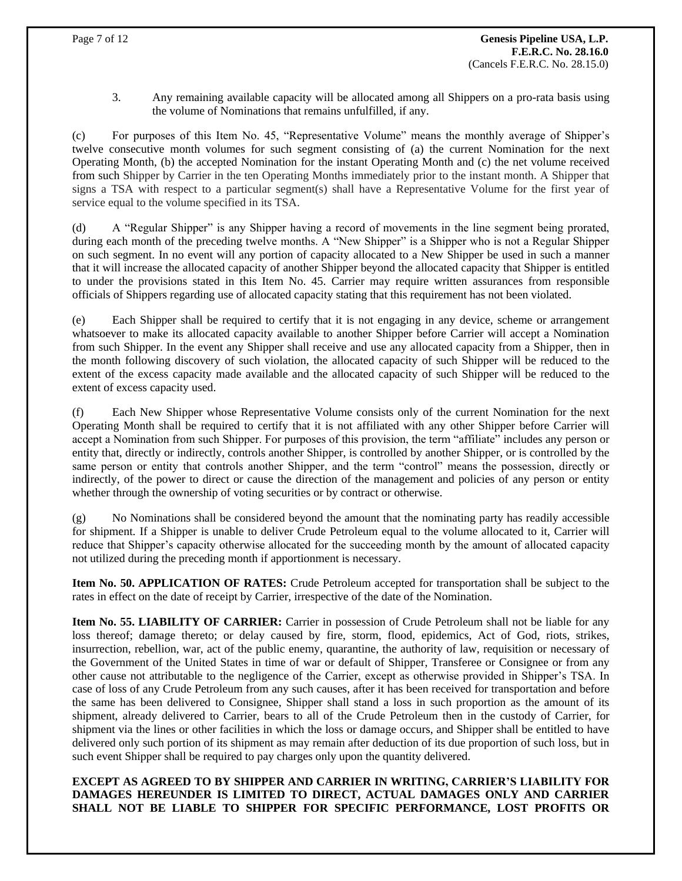3. Any remaining available capacity will be allocated among all Shippers on a pro-rata basis using the volume of Nominations that remains unfulfilled, if any.

(c) For purposes of this Item No. 45, "Representative Volume" means the monthly average of Shipper's twelve consecutive month volumes for such segment consisting of (a) the current Nomination for the next Operating Month, (b) the accepted Nomination for the instant Operating Month and (c) the net volume received from such Shipper by Carrier in the ten Operating Months immediately prior to the instant month. A Shipper that signs a TSA with respect to a particular segment(s) shall have a Representative Volume for the first year of service equal to the volume specified in its TSA.

(d) A "Regular Shipper" is any Shipper having a record of movements in the line segment being prorated, during each month of the preceding twelve months. A "New Shipper" is a Shipper who is not a Regular Shipper on such segment. In no event will any portion of capacity allocated to a New Shipper be used in such a manner that it will increase the allocated capacity of another Shipper beyond the allocated capacity that Shipper is entitled to under the provisions stated in this Item No. 45. Carrier may require written assurances from responsible officials of Shippers regarding use of allocated capacity stating that this requirement has not been violated.

(e) Each Shipper shall be required to certify that it is not engaging in any device, scheme or arrangement whatsoever to make its allocated capacity available to another Shipper before Carrier will accept a Nomination from such Shipper. In the event any Shipper shall receive and use any allocated capacity from a Shipper, then in the month following discovery of such violation, the allocated capacity of such Shipper will be reduced to the extent of the excess capacity made available and the allocated capacity of such Shipper will be reduced to the extent of excess capacity used.

(f) Each New Shipper whose Representative Volume consists only of the current Nomination for the next Operating Month shall be required to certify that it is not affiliated with any other Shipper before Carrier will accept a Nomination from such Shipper. For purposes of this provision, the term "affiliate" includes any person or entity that, directly or indirectly, controls another Shipper, is controlled by another Shipper, or is controlled by the same person or entity that controls another Shipper, and the term "control" means the possession, directly or indirectly, of the power to direct or cause the direction of the management and policies of any person or entity whether through the ownership of voting securities or by contract or otherwise.

(g) No Nominations shall be considered beyond the amount that the nominating party has readily accessible for shipment. If a Shipper is unable to deliver Crude Petroleum equal to the volume allocated to it, Carrier will reduce that Shipper's capacity otherwise allocated for the succeeding month by the amount of allocated capacity not utilized during the preceding month if apportionment is necessary.

**Item No. 50. APPLICATION OF RATES:** Crude Petroleum accepted for transportation shall be subject to the rates in effect on the date of receipt by Carrier, irrespective of the date of the Nomination.

**Item No. 55. LIABILITY OF CARRIER:** Carrier in possession of Crude Petroleum shall not be liable for any loss thereof; damage thereto; or delay caused by fire, storm, flood, epidemics, Act of God, riots, strikes, insurrection, rebellion, war, act of the public enemy, quarantine, the authority of law, requisition or necessary of the Government of the United States in time of war or default of Shipper, Transferee or Consignee or from any other cause not attributable to the negligence of the Carrier, except as otherwise provided in Shipper's TSA. In case of loss of any Crude Petroleum from any such causes, after it has been received for transportation and before the same has been delivered to Consignee, Shipper shall stand a loss in such proportion as the amount of its shipment, already delivered to Carrier, bears to all of the Crude Petroleum then in the custody of Carrier, for shipment via the lines or other facilities in which the loss or damage occurs, and Shipper shall be entitled to have delivered only such portion of its shipment as may remain after deduction of its due proportion of such loss, but in such event Shipper shall be required to pay charges only upon the quantity delivered.

**EXCEPT AS AGREED TO BY SHIPPER AND CARRIER IN WRITING, CARRIER'S LIABILITY FOR DAMAGES HEREUNDER IS LIMITED TO DIRECT, ACTUAL DAMAGES ONLY AND CARRIER SHALL NOT BE LIABLE TO SHIPPER FOR SPECIFIC PERFORMANCE, LOST PROFITS OR**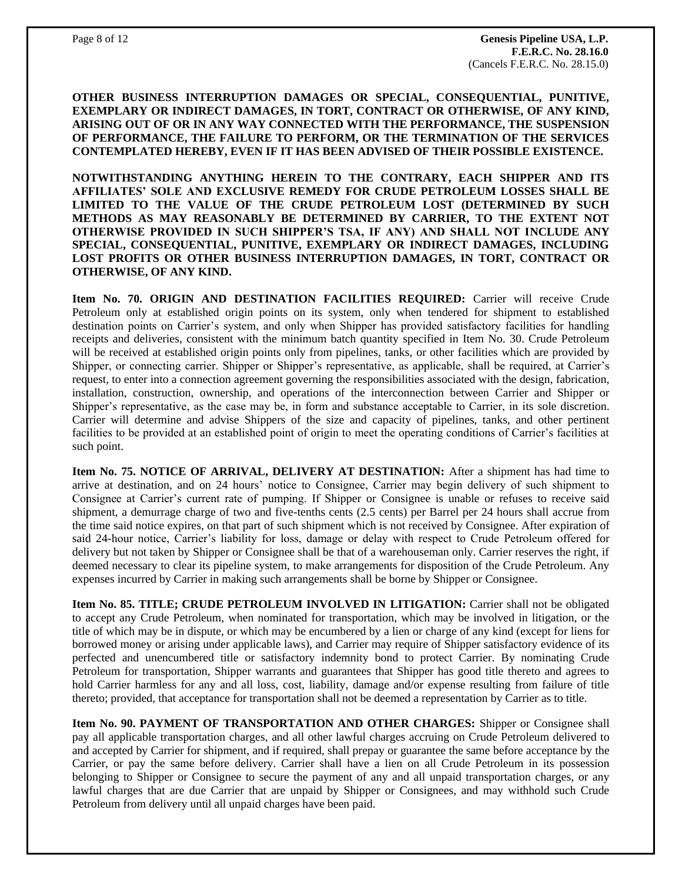**OTHER BUSINESS INTERRUPTION DAMAGES OR SPECIAL, CONSEQUENTIAL, PUNITIVE, EXEMPLARY OR INDIRECT DAMAGES, IN TORT, CONTRACT OR OTHERWISE, OF ANY KIND, ARISING OUT OF OR IN ANY WAY CONNECTED WITH THE PERFORMANCE, THE SUSPENSION OF PERFORMANCE, THE FAILURE TO PERFORM, OR THE TERMINATION OF THE SERVICES CONTEMPLATED HEREBY, EVEN IF IT HAS BEEN ADVISED OF THEIR POSSIBLE EXISTENCE.**

**NOTWITHSTANDING ANYTHING HEREIN TO THE CONTRARY, EACH SHIPPER AND ITS AFFILIATES' SOLE AND EXCLUSIVE REMEDY FOR CRUDE PETROLEUM LOSSES SHALL BE LIMITED TO THE VALUE OF THE CRUDE PETROLEUM LOST (DETERMINED BY SUCH METHODS AS MAY REASONABLY BE DETERMINED BY CARRIER, TO THE EXTENT NOT OTHERWISE PROVIDED IN SUCH SHIPPER'S TSA, IF ANY) AND SHALL NOT INCLUDE ANY SPECIAL, CONSEQUENTIAL, PUNITIVE, EXEMPLARY OR INDIRECT DAMAGES, INCLUDING LOST PROFITS OR OTHER BUSINESS INTERRUPTION DAMAGES, IN TORT, CONTRACT OR OTHERWISE, OF ANY KIND.**

**Item No. 70. ORIGIN AND DESTINATION FACILITIES REQUIRED:** Carrier will receive Crude Petroleum only at established origin points on its system, only when tendered for shipment to established destination points on Carrier's system, and only when Shipper has provided satisfactory facilities for handling receipts and deliveries, consistent with the minimum batch quantity specified in Item No. 30. Crude Petroleum will be received at established origin points only from pipelines, tanks, or other facilities which are provided by Shipper, or connecting carrier. Shipper or Shipper's representative, as applicable, shall be required, at Carrier's request, to enter into a connection agreement governing the responsibilities associated with the design, fabrication, installation, construction, ownership, and operations of the interconnection between Carrier and Shipper or Shipper's representative, as the case may be, in form and substance acceptable to Carrier, in its sole discretion. Carrier will determine and advise Shippers of the size and capacity of pipelines, tanks, and other pertinent facilities to be provided at an established point of origin to meet the operating conditions of Carrier's facilities at such point.

**Item No. 75. NOTICE OF ARRIVAL, DELIVERY AT DESTINATION:** After a shipment has had time to arrive at destination, and on 24 hours' notice to Consignee, Carrier may begin delivery of such shipment to Consignee at Carrier's current rate of pumping. If Shipper or Consignee is unable or refuses to receive said shipment, a demurrage charge of two and five-tenths cents (2.5 cents) per Barrel per 24 hours shall accrue from the time said notice expires, on that part of such shipment which is not received by Consignee. After expiration of said 24-hour notice, Carrier's liability for loss, damage or delay with respect to Crude Petroleum offered for delivery but not taken by Shipper or Consignee shall be that of a warehouseman only. Carrier reserves the right, if deemed necessary to clear its pipeline system, to make arrangements for disposition of the Crude Petroleum. Any expenses incurred by Carrier in making such arrangements shall be borne by Shipper or Consignee.

**Item No. 85. TITLE; CRUDE PETROLEUM INVOLVED IN LITIGATION:** Carrier shall not be obligated to accept any Crude Petroleum, when nominated for transportation, which may be involved in litigation, or the title of which may be in dispute, or which may be encumbered by a lien or charge of any kind (except for liens for borrowed money or arising under applicable laws), and Carrier may require of Shipper satisfactory evidence of its perfected and unencumbered title or satisfactory indemnity bond to protect Carrier. By nominating Crude Petroleum for transportation, Shipper warrants and guarantees that Shipper has good title thereto and agrees to hold Carrier harmless for any and all loss, cost, liability, damage and/or expense resulting from failure of title thereto; provided, that acceptance for transportation shall not be deemed a representation by Carrier as to title.

**Item No. 90. PAYMENT OF TRANSPORTATION AND OTHER CHARGES:** Shipper or Consignee shall pay all applicable transportation charges, and all other lawful charges accruing on Crude Petroleum delivered to and accepted by Carrier for shipment, and if required, shall prepay or guarantee the same before acceptance by the Carrier, or pay the same before delivery. Carrier shall have a lien on all Crude Petroleum in its possession belonging to Shipper or Consignee to secure the payment of any and all unpaid transportation charges, or any lawful charges that are due Carrier that are unpaid by Shipper or Consignees, and may withhold such Crude Petroleum from delivery until all unpaid charges have been paid.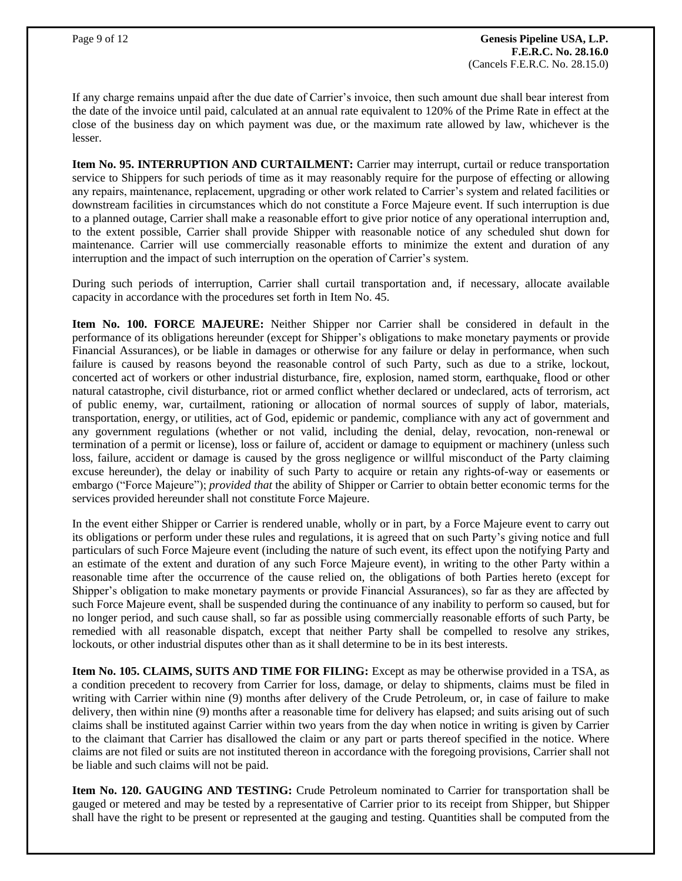If any charge remains unpaid after the due date of Carrier's invoice, then such amount due shall bear interest from the date of the invoice until paid, calculated at an annual rate equivalent to 120% of the Prime Rate in effect at the close of the business day on which payment was due, or the maximum rate allowed by law, whichever is the lesser.

**Item No. 95. INTERRUPTION AND CURTAILMENT:** Carrier may interrupt, curtail or reduce transportation service to Shippers for such periods of time as it may reasonably require for the purpose of effecting or allowing any repairs, maintenance, replacement, upgrading or other work related to Carrier's system and related facilities or downstream facilities in circumstances which do not constitute a Force Majeure event. If such interruption is due to a planned outage, Carrier shall make a reasonable effort to give prior notice of any operational interruption and, to the extent possible, Carrier shall provide Shipper with reasonable notice of any scheduled shut down for maintenance. Carrier will use commercially reasonable efforts to minimize the extent and duration of any interruption and the impact of such interruption on the operation of Carrier's system.

During such periods of interruption, Carrier shall curtail transportation and, if necessary, allocate available capacity in accordance with the procedures set forth in Item No. 45.

**Item No. 100. FORCE MAJEURE:** Neither Shipper nor Carrier shall be considered in default in the performance of its obligations hereunder (except for Shipper's obligations to make monetary payments or provide Financial Assurances), or be liable in damages or otherwise for any failure or delay in performance, when such failure is caused by reasons beyond the reasonable control of such Party, such as due to a strike, lockout, concerted act of workers or other industrial disturbance, fire, explosion, named storm, earthquake, flood or other natural catastrophe, civil disturbance, riot or armed conflict whether declared or undeclared, acts of terrorism, act of public enemy, war, curtailment, rationing or allocation of normal sources of supply of labor, materials, transportation, energy, or utilities, act of God, epidemic or pandemic, compliance with any act of government and any government regulations (whether or not valid, including the denial, delay, revocation, non-renewal or termination of a permit or license), loss or failure of, accident or damage to equipment or machinery (unless such loss, failure, accident or damage is caused by the gross negligence or willful misconduct of the Party claiming excuse hereunder), the delay or inability of such Party to acquire or retain any rights-of-way or easements or embargo ("Force Majeure"); *provided that* the ability of Shipper or Carrier to obtain better economic terms for the services provided hereunder shall not constitute Force Majeure.

In the event either Shipper or Carrier is rendered unable, wholly or in part, by a Force Majeure event to carry out its obligations or perform under these rules and regulations, it is agreed that on such Party's giving notice and full particulars of such Force Majeure event (including the nature of such event, its effect upon the notifying Party and an estimate of the extent and duration of any such Force Majeure event), in writing to the other Party within a reasonable time after the occurrence of the cause relied on, the obligations of both Parties hereto (except for Shipper's obligation to make monetary payments or provide Financial Assurances), so far as they are affected by such Force Majeure event, shall be suspended during the continuance of any inability to perform so caused, but for no longer period, and such cause shall, so far as possible using commercially reasonable efforts of such Party, be remedied with all reasonable dispatch, except that neither Party shall be compelled to resolve any strikes, lockouts, or other industrial disputes other than as it shall determine to be in its best interests.

**Item No. 105. CLAIMS, SUITS AND TIME FOR FILING:** Except as may be otherwise provided in a TSA, as a condition precedent to recovery from Carrier for loss, damage, or delay to shipments, claims must be filed in writing with Carrier within nine (9) months after delivery of the Crude Petroleum, or, in case of failure to make delivery, then within nine (9) months after a reasonable time for delivery has elapsed; and suits arising out of such claims shall be instituted against Carrier within two years from the day when notice in writing is given by Carrier to the claimant that Carrier has disallowed the claim or any part or parts thereof specified in the notice. Where claims are not filed or suits are not instituted thereon in accordance with the foregoing provisions, Carrier shall not be liable and such claims will not be paid.

**Item No. 120. GAUGING AND TESTING:** Crude Petroleum nominated to Carrier for transportation shall be gauged or metered and may be tested by a representative of Carrier prior to its receipt from Shipper, but Shipper shall have the right to be present or represented at the gauging and testing. Quantities shall be computed from the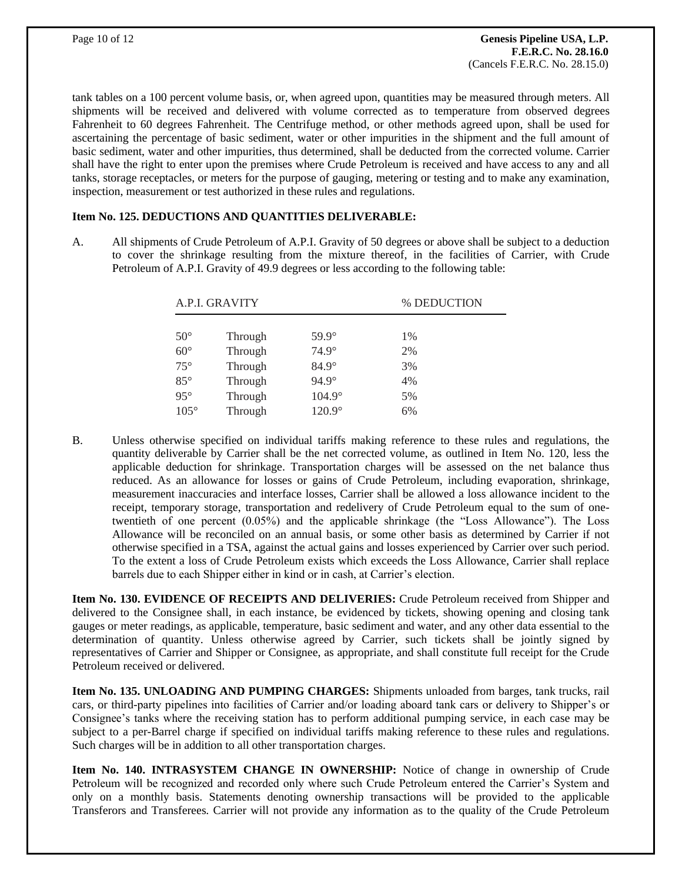tank tables on a 100 percent volume basis, or, when agreed upon, quantities may be measured through meters. All shipments will be received and delivered with volume corrected as to temperature from observed degrees Fahrenheit to 60 degrees Fahrenheit. The Centrifuge method, or other methods agreed upon, shall be used for ascertaining the percentage of basic sediment, water or other impurities in the shipment and the full amount of basic sediment, water and other impurities, thus determined, shall be deducted from the corrected volume. Carrier shall have the right to enter upon the premises where Crude Petroleum is received and have access to any and all tanks, storage receptacles, or meters for the purpose of gauging, metering or testing and to make any examination, inspection, measurement or test authorized in these rules and regulations.

#### **Item No. 125. DEDUCTIONS AND QUANTITIES DELIVERABLE:**

A. All shipments of Crude Petroleum of A.P.I. Gravity of 50 degrees or above shall be subject to a deduction to cover the shrinkage resulting from the mixture thereof, in the facilities of Carrier, with Crude Petroleum of A.P.I. Gravity of 49.9 degrees or less according to the following table:

| A.P.I. GRAVITY |         |               | % DEDUCTION |
|----------------|---------|---------------|-------------|
|                |         |               |             |
| $50^{\circ}$   | Through | $59.9^\circ$  | 1%          |
| $60^\circ$     | Through | $74.9^\circ$  | 2%          |
| $75^{\circ}$   | Through | $84.9^\circ$  | 3%          |
| $85^{\circ}$   | Through | $94.9^\circ$  | 4%          |
| $95^\circ$     | Through | $104.9^\circ$ | 5%          |
| $105^\circ$    | Through | $120.9^\circ$ | 6%          |

B. Unless otherwise specified on individual tariffs making reference to these rules and regulations, the quantity deliverable by Carrier shall be the net corrected volume, as outlined in Item No. 120, less the applicable deduction for shrinkage. Transportation charges will be assessed on the net balance thus reduced. As an allowance for losses or gains of Crude Petroleum, including evaporation, shrinkage, measurement inaccuracies and interface losses, Carrier shall be allowed a loss allowance incident to the receipt, temporary storage, transportation and redelivery of Crude Petroleum equal to the sum of onetwentieth of one percent (0.05%) and the applicable shrinkage (the "Loss Allowance"). The Loss Allowance will be reconciled on an annual basis, or some other basis as determined by Carrier if not otherwise specified in a TSA, against the actual gains and losses experienced by Carrier over such period. To the extent a loss of Crude Petroleum exists which exceeds the Loss Allowance, Carrier shall replace barrels due to each Shipper either in kind or in cash, at Carrier's election.

**Item No. 130. EVIDENCE OF RECEIPTS AND DELIVERIES:** Crude Petroleum received from Shipper and delivered to the Consignee shall, in each instance, be evidenced by tickets, showing opening and closing tank gauges or meter readings, as applicable, temperature, basic sediment and water, and any other data essential to the determination of quantity. Unless otherwise agreed by Carrier, such tickets shall be jointly signed by representatives of Carrier and Shipper or Consignee, as appropriate, and shall constitute full receipt for the Crude Petroleum received or delivered.

**Item No. 135. UNLOADING AND PUMPING CHARGES:** Shipments unloaded from barges, tank trucks, rail cars, or third-party pipelines into facilities of Carrier and/or loading aboard tank cars or delivery to Shipper's or Consignee's tanks where the receiving station has to perform additional pumping service, in each case may be subject to a per-Barrel charge if specified on individual tariffs making reference to these rules and regulations. Such charges will be in addition to all other transportation charges.

**Item No. 140. INTRASYSTEM CHANGE IN OWNERSHIP:** Notice of change in ownership of Crude Petroleum will be recognized and recorded only where such Crude Petroleum entered the Carrier's System and only on a monthly basis. Statements denoting ownership transactions will be provided to the applicable Transferors and Transferees. Carrier will not provide any information as to the quality of the Crude Petroleum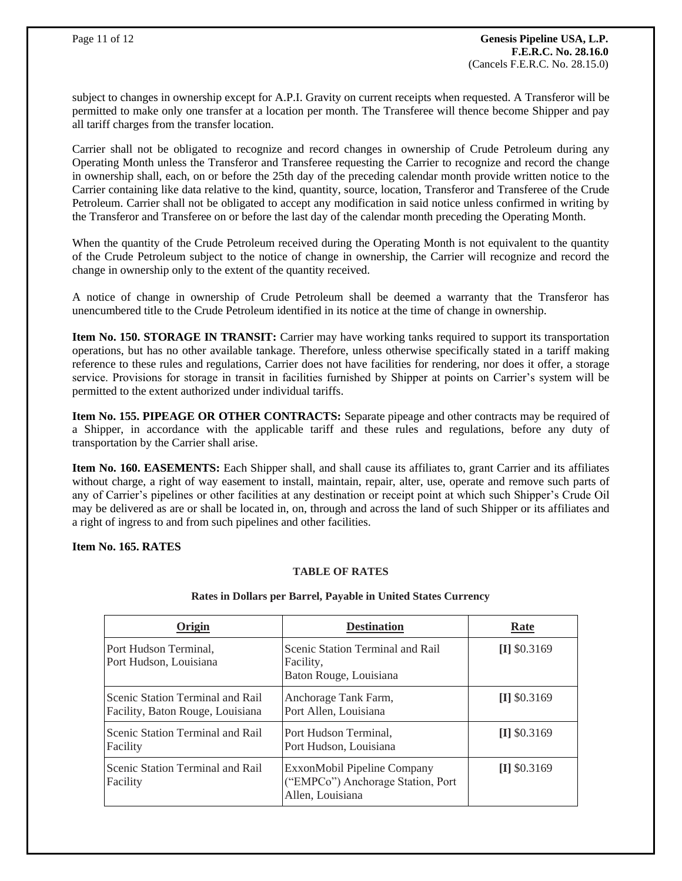subject to changes in ownership except for A.P.I. Gravity on current receipts when requested. A Transferor will be permitted to make only one transfer at a location per month. The Transferee will thence become Shipper and pay all tariff charges from the transfer location.

Carrier shall not be obligated to recognize and record changes in ownership of Crude Petroleum during any Operating Month unless the Transferor and Transferee requesting the Carrier to recognize and record the change in ownership shall, each, on or before the 25th day of the preceding calendar month provide written notice to the Carrier containing like data relative to the kind, quantity, source, location, Transferor and Transferee of the Crude Petroleum. Carrier shall not be obligated to accept any modification in said notice unless confirmed in writing by the Transferor and Transferee on or before the last day of the calendar month preceding the Operating Month.

When the quantity of the Crude Petroleum received during the Operating Month is not equivalent to the quantity of the Crude Petroleum subject to the notice of change in ownership, the Carrier will recognize and record the change in ownership only to the extent of the quantity received.

A notice of change in ownership of Crude Petroleum shall be deemed a warranty that the Transferor has unencumbered title to the Crude Petroleum identified in its notice at the time of change in ownership.

**Item No. 150. STORAGE IN TRANSIT:** Carrier may have working tanks required to support its transportation operations, but has no other available tankage. Therefore, unless otherwise specifically stated in a tariff making reference to these rules and regulations, Carrier does not have facilities for rendering, nor does it offer, a storage service. Provisions for storage in transit in facilities furnished by Shipper at points on Carrier's system will be permitted to the extent authorized under individual tariffs.

**Item No. 155. PIPEAGE OR OTHER CONTRACTS:** Separate pipeage and other contracts may be required of a Shipper, in accordance with the applicable tariff and these rules and regulations, before any duty of transportation by the Carrier shall arise.

**Item No. 160. EASEMENTS:** Each Shipper shall, and shall cause its affiliates to, grant Carrier and its affiliates without charge, a right of way easement to install, maintain, repair, alter, use, operate and remove such parts of any of Carrier's pipelines or other facilities at any destination or receipt point at which such Shipper's Crude Oil may be delivered as are or shall be located in, on, through and across the land of such Shipper or its affiliates and a right of ingress to and from such pipelines and other facilities.

#### **Item No. 165. RATES**

## **TABLE OF RATES**

| Origin                                                               | <b>Destination</b>                                                                   | Rate           |
|----------------------------------------------------------------------|--------------------------------------------------------------------------------------|----------------|
| Port Hudson Terminal,<br>Port Hudson, Louisiana                      | Scenic Station Terminal and Rail<br>Facility,<br>Baton Rouge, Louisiana              | $[I]$ \$0.3169 |
| Scenic Station Terminal and Rail<br>Facility, Baton Rouge, Louisiana | Anchorage Tank Farm,<br>Port Allen, Louisiana                                        | $[I]$ \$0.3169 |
| Scenic Station Terminal and Rail<br>Facility                         | Port Hudson Terminal,<br>Port Hudson, Louisiana                                      | $\pi$ \$0.3169 |
| Scenic Station Terminal and Rail<br>Facility                         | ExxonMobil Pipeline Company<br>("EMPCo") Anchorage Station, Port<br>Allen, Louisiana | $\pi$ \$0.3169 |

#### **Rates in Dollars per Barrel, Payable in United States Currency**